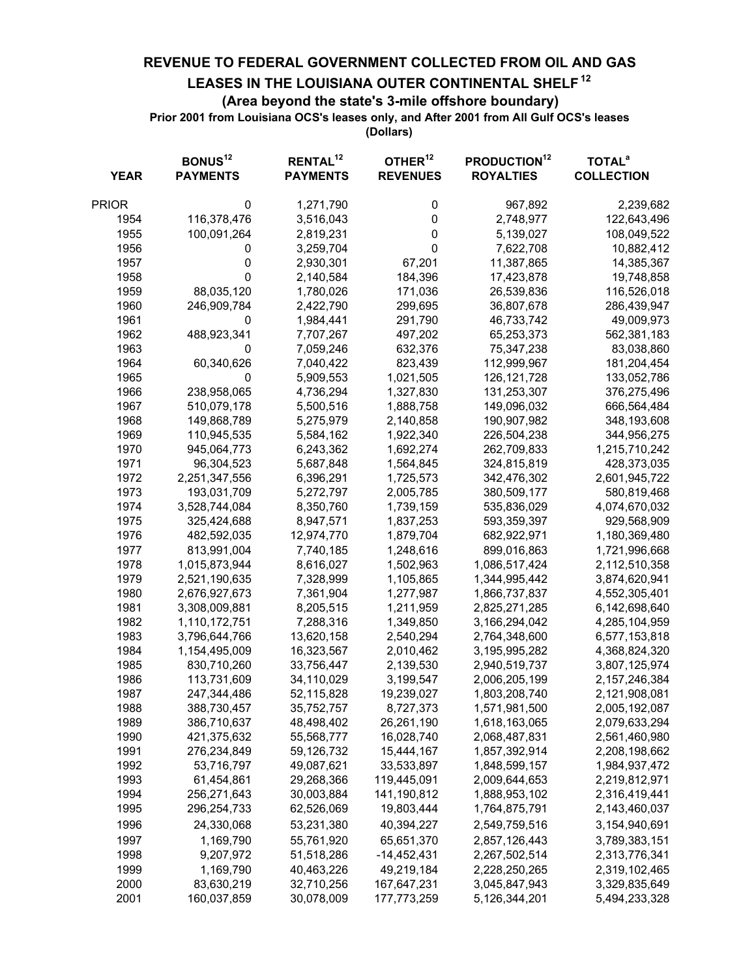**REVENUE TO FEDERAL GOVERNMENT COLLECTED FROM OIL AND GAS**

## **LEASES IN THE LOUISIANA OUTER CONTINENTAL SHELF 12**

## **(Area beyond the state's 3-mile offshore boundary)**

**Prior 2001 from Louisiana OCS's leases only, and After 2001 from All Gulf OCS's leases**

**(Dollars)**

| <b>YEAR</b> | BONUS <sup>12</sup><br><b>PAYMENTS</b> | RENTAL <sup>12</sup><br><b>PAYMENTS</b> | OTHER <sup>12</sup><br><b>REVENUES</b> | <b>PRODUCTION<sup>12</sup></b><br><b>ROYALTIES</b> | <b>TOTAL<sup>a</sup></b><br><b>COLLECTION</b> |
|-------------|----------------------------------------|-----------------------------------------|----------------------------------------|----------------------------------------------------|-----------------------------------------------|
| PRIOR       | 0                                      | 1,271,790                               | 0                                      | 967,892                                            | 2,239,682                                     |
| 1954        | 116,378,476                            | 3,516,043                               | 0                                      | 2,748,977                                          | 122,643,496                                   |
| 1955        | 100,091,264                            | 2,819,231                               | 0                                      | 5,139,027                                          | 108,049,522                                   |
| 1956        | 0                                      | 3,259,704                               | 0                                      | 7,622,708                                          | 10,882,412                                    |
| 1957        | 0                                      | 2,930,301                               | 67,201                                 | 11,387,865                                         | 14,385,367                                    |
| 1958        | 0                                      | 2,140,584                               | 184,396                                | 17,423,878                                         | 19,748,858                                    |
| 1959        | 88,035,120                             | 1,780,026                               | 171,036                                | 26,539,836                                         | 116,526,018                                   |
| 1960        | 246,909,784                            | 2,422,790                               | 299,695                                | 36,807,678                                         | 286,439,947                                   |
| 1961        | 0                                      | 1,984,441                               | 291,790                                | 46,733,742                                         | 49,009,973                                    |
| 1962        | 488,923,341                            | 7,707,267                               | 497,202                                | 65,253,373                                         | 562,381,183                                   |
| 1963        | 0                                      | 7,059,246                               | 632,376                                | 75,347,238                                         | 83,038,860                                    |
| 1964        | 60,340,626                             | 7,040,422                               | 823,439                                | 112,999,967                                        | 181,204,454                                   |
| 1965        | 0                                      | 5,909,553                               | 1,021,505                              | 126, 121, 728                                      | 133,052,786                                   |
| 1966        | 238,958,065                            | 4,736,294                               | 1,327,830                              | 131,253,307                                        | 376,275,496                                   |
| 1967        | 510,079,178                            | 5,500,516                               | 1,888,758                              | 149,096,032                                        | 666,564,484                                   |
| 1968        | 149,868,789                            | 5,275,979                               | 2,140,858                              | 190,907,982                                        | 348,193,608                                   |
| 1969        | 110,945,535                            | 5,584,162                               | 1,922,340                              | 226,504,238                                        | 344,956,275                                   |
| 1970        | 945,064,773                            | 6,243,362                               | 1,692,274                              | 262,709,833                                        | 1,215,710,242                                 |
| 1971        | 96,304,523                             | 5,687,848                               | 1,564,845                              | 324,815,819                                        | 428,373,035                                   |
| 1972        | 2,251,347,556                          | 6,396,291                               | 1,725,573                              | 342,476,302                                        | 2,601,945,722                                 |
| 1973        | 193,031,709                            | 5,272,797                               | 2,005,785                              | 380,509,177                                        | 580,819,468                                   |
| 1974        | 3,528,744,084                          | 8,350,760                               | 1,739,159                              | 535,836,029                                        | 4,074,670,032                                 |
| 1975        | 325,424,688                            | 8,947,571                               | 1,837,253                              | 593,359,397                                        | 929,568,909                                   |
| 1976        | 482,592,035                            | 12,974,770                              | 1,879,704                              | 682,922,971                                        | 1,180,369,480                                 |
| 1977        | 813,991,004                            | 7,740,185                               | 1,248,616                              | 899,016,863                                        | 1,721,996,668                                 |
| 1978        | 1,015,873,944                          | 8,616,027                               | 1,502,963                              | 1,086,517,424                                      | 2,112,510,358                                 |
| 1979        | 2,521,190,635                          | 7,328,999                               | 1,105,865                              | 1,344,995,442                                      | 3,874,620,941                                 |
| 1980        | 2,676,927,673                          | 7,361,904                               | 1,277,987                              | 1,866,737,837                                      | 4,552,305,401                                 |
| 1981        | 3,308,009,881                          | 8,205,515                               | 1,211,959                              | 2,825,271,285                                      | 6,142,698,640                                 |
| 1982        | 1,110,172,751                          | 7,288,316                               | 1,349,850                              | 3,166,294,042                                      | 4,285,104,959                                 |
| 1983        | 3,796,644,766                          | 13,620,158                              | 2,540,294                              | 2,764,348,600                                      | 6,577,153,818                                 |
| 1984        | 1,154,495,009                          | 16,323,567                              | 2,010,462                              | 3,195,995,282                                      | 4,368,824,320                                 |
| 1985        | 830,710,260                            | 33,756,447                              | 2,139,530                              | 2,940,519,737                                      | 3,807,125,974                                 |
| 1986        | 113,731,609                            | 34,110,029                              | 3,199,547                              | 2,006,205,199                                      | 2, 157, 246, 384                              |
| 1987        | 247,344,486                            | 52,115,828                              | 19,239,027                             | 1,803,208,740                                      | 2,121,908,081                                 |
| 1988        | 388,730,457                            | 35,752,757                              | 8,727,373                              | 1,571,981,500                                      | 2,005,192,087                                 |
| 1989        | 386,710,637                            | 48,498,402                              | 26,261,190                             | 1,618,163,065                                      | 2,079,633,294                                 |
| 1990        | 421,375,632                            | 55,568,777                              | 16,028,740                             | 2,068,487,831                                      | 2,561,460,980                                 |
| 1991        | 276,234,849                            | 59,126,732                              | 15,444,167                             | 1,857,392,914                                      | 2,208,198,662                                 |
| 1992        | 53,716,797                             | 49,087,621                              | 33,533,897                             | 1,848,599,157                                      | 1,984,937,472                                 |
| 1993        | 61,454,861                             | 29,268,366                              | 119,445,091                            | 2,009,644,653                                      | 2,219,812,971                                 |
| 1994        | 256,271,643                            | 30,003,884                              | 141,190,812                            | 1,888,953,102                                      | 2,316,419,441                                 |
| 1995        | 296,254,733                            | 62,526,069                              | 19,803,444                             | 1,764,875,791                                      | 2,143,460,037                                 |
| 1996        | 24,330,068                             | 53,231,380                              | 40,394,227                             | 2,549,759,516                                      | 3,154,940,691                                 |
| 1997        | 1,169,790                              | 55,761,920                              | 65,651,370                             | 2,857,126,443                                      | 3,789,383,151                                 |
| 1998        | 9,207,972                              | 51,518,286                              | $-14,452,431$                          | 2,267,502,514                                      | 2,313,776,341                                 |
| 1999        | 1,169,790                              | 40,463,226                              | 49,219,184                             | 2,228,250,265                                      | 2,319,102,465                                 |
| 2000        | 83,630,219                             | 32,710,256                              | 167,647,231                            | 3,045,847,943                                      | 3,329,835,649                                 |
| 2001        | 160,037,859                            | 30,078,009                              | 177,773,259                            | 5,126,344,201                                      | 5,494,233,328                                 |